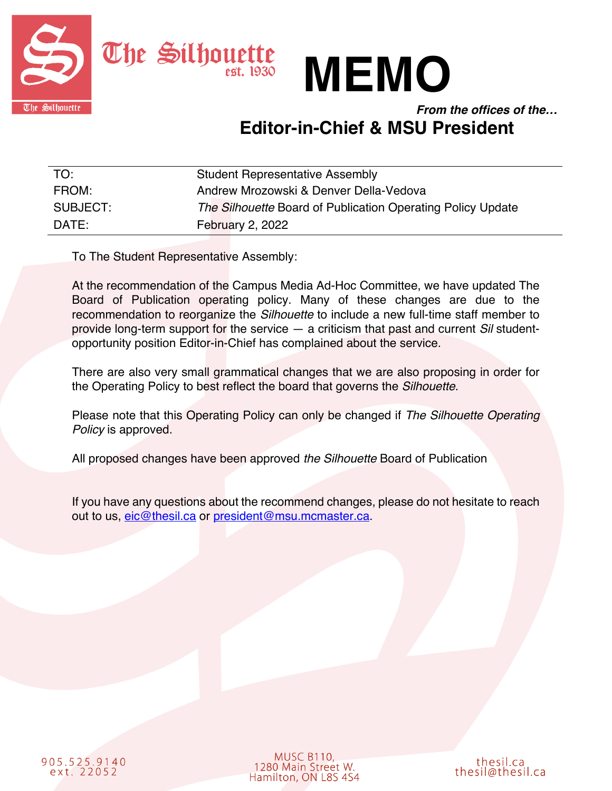



*From the offices of the…*

## **Editor-in-Chief & MSU President**

| TO:      | <b>Student Representative Assembly</b>                      |
|----------|-------------------------------------------------------------|
| FROM:    | Andrew Mrozowski & Denver Della-Vedova                      |
| SUBJECT: | The Silhouette Board of Publication Operating Policy Update |
| DATE:    | <b>February 2, 2022</b>                                     |

To The Student Representative Assembly:

At the recommendation of the Campus Media Ad-Hoc Committee, we have updated The Board of Publication operating policy. Many of these changes are due to the recommendation to reorganize the *Silhouette* to include a new full-time staff member to provide long-term support for the service — a criticism that past and current *Sil* studentopportunity position Editor-in-Chief has complained about the service.

There are also very small grammatical changes that we are also proposing in order for the Operating Policy to best reflect the board that governs the *Silhouette*.

Please note that this Operating Policy can only be changed if *The Silhouette Operating Policy* is approved.

All proposed changes have been approved *the Silhouette* Board of Publication

If you have any questions about the recommend changes, please do not hesitate to reach out to us, eic@thesil.ca or president@msu.mcmaster.ca.